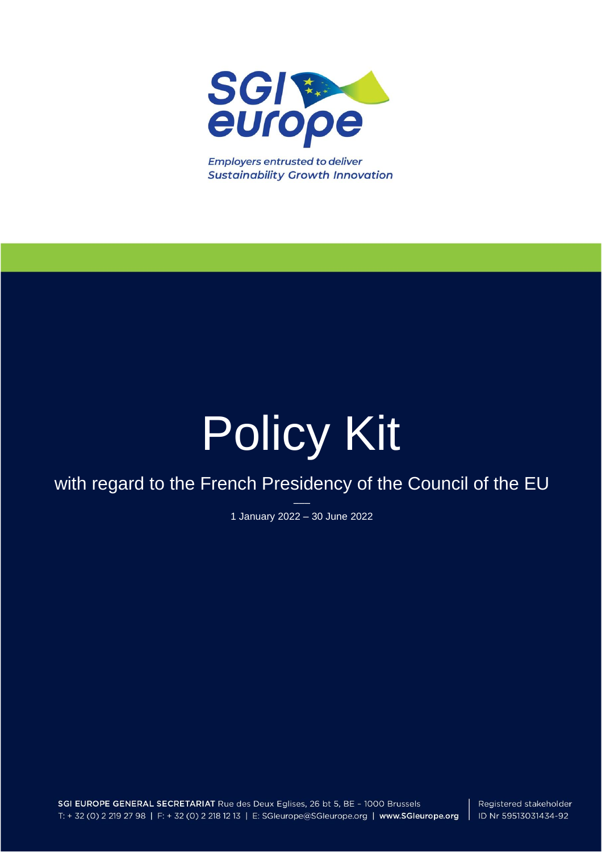

**Employers entrusted to deliver Sustainability Growth Innovation** 

# Policy Kit

## with regard to the French Presidency of the Council of the EU

––– 1 January 2022 – 30 June 2022

SGI EUROPE GENERAL SECRETARIAT Rue des Deux Eglises, 26 bt 5, BE - 1000 Brussels T: + 32 (0) 2 219 27 98 | F: + 32 (0) 2 218 12 13 | E: SGleurope@SGleurope.org | www.SGleurope.org

Registered stakeholder ID Nr 59513031434-92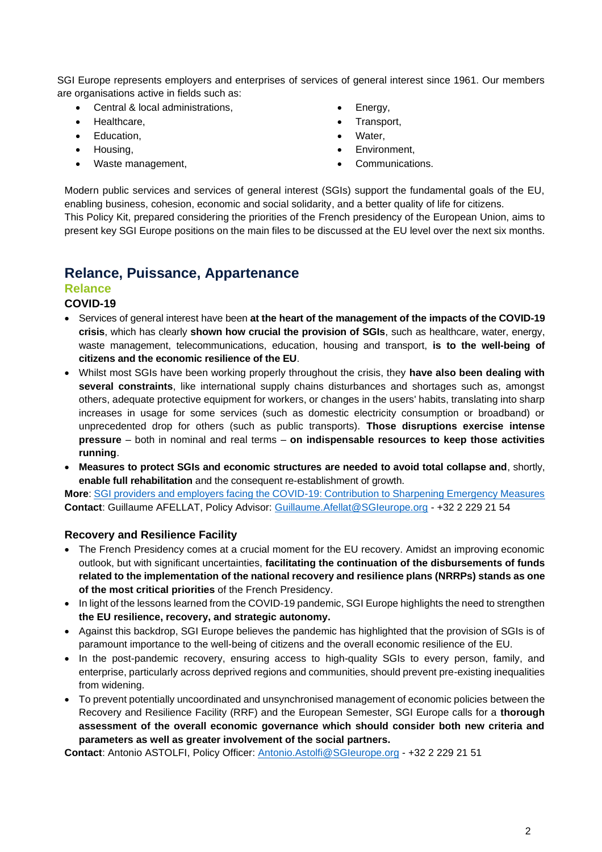SGI Europe represents employers and enterprises of services of general interest since 1961. Our members are organisations active in fields such as:

- Central & local administrations,
- Healthcare,
- Education,
- Housing,
- Waste management,
- Energy,
- Transport,
- Water,
- Environment,
- Communications.

Modern public services and services of general interest (SGIs) support the fundamental goals of the EU, enabling business, cohesion, economic and social solidarity, and a better quality of life for citizens. This Policy Kit, prepared considering the priorities of the French presidency of the European Union, aims to present key SGI Europe positions on the main files to be discussed at the EU level over the next six months.

## **Relance, Puissance, Appartenance**

#### **Relance**

#### **COVID-19**

- Services of general interest have been **at the heart of the management of the impacts of the COVID-19 crisis**, which has clearly **shown how crucial the provision of SGIs**, such as healthcare, water, energy, waste management, telecommunications, education, housing and transport, **is to the well-being of citizens and the economic resilience of the EU**.
- Whilst most SGIs have been working properly throughout the crisis, they **have also been dealing with several constraints**, like international supply chains disturbances and shortages such as, amongst others, adequate protective equipment for workers, or changes in the users' habits, translating into sharp increases in usage for some services (such as domestic electricity consumption or broadband) or unprecedented drop for others (such as public transports). **Those disruptions exercise intense pressure** – both in nominal and real terms – **on indispensable resources to keep those activities running**.
- **Measures to protect SGIs and economic structures are needed to avoid total collapse and**, shortly, **enable full rehabilitation** and the consequent re-establishment of growth.

**More**: [SGI providers and employers facing the COVID-19: Contribution to Sharpening Emergency Measures](https://sgieurope.org/files/CEEP-Position-Paper-COVID-19_Emergency.pdf) **Contact**: Guillaume AFELLAT, Policy Advisor: [Guillaume.Afellat@SGIeurope.org](mailto:Guillaume.Afellat@SGIeurope.org) - +32 2 229 21 54

#### **Recovery and Resilience Facility**

- The French Presidency comes at a crucial moment for the EU recovery. Amidst an improving economic outlook, but with significant uncertainties, **facilitating the continuation of the disbursements of funds related to the implementation of the national recovery and resilience plans (NRRPs) stands as one of the most critical priorities** of the French Presidency.
- In light of the lessons learned from the COVID-19 pandemic, SGI Europe highlights the need to strengthen **the EU resilience, recovery, and strategic autonomy.**
- Against this backdrop, SGI Europe believes the pandemic has highlighted that the provision of SGIs is of paramount importance to the well-being of citizens and the overall economic resilience of the EU.
- In the post-pandemic recovery, ensuring access to high-quality SGIs to every person, family, and enterprise, particularly across deprived regions and communities, should prevent pre-existing inequalities from widening.
- To prevent potentially uncoordinated and unsynchronised management of economic policies between the Recovery and Resilience Facility (RRF) and the European Semester, SGI Europe calls for a **thorough assessment of the overall economic governance which should consider both new criteria and parameters as well as greater involvement of the social partners.**

**Contact**: Antonio ASTOLFI, Policy Officer: [Antonio.Astolfi@SGIeurope.org](mailto:Antonio.Astolfi@SGIeurope.org) - +32 2 229 21 51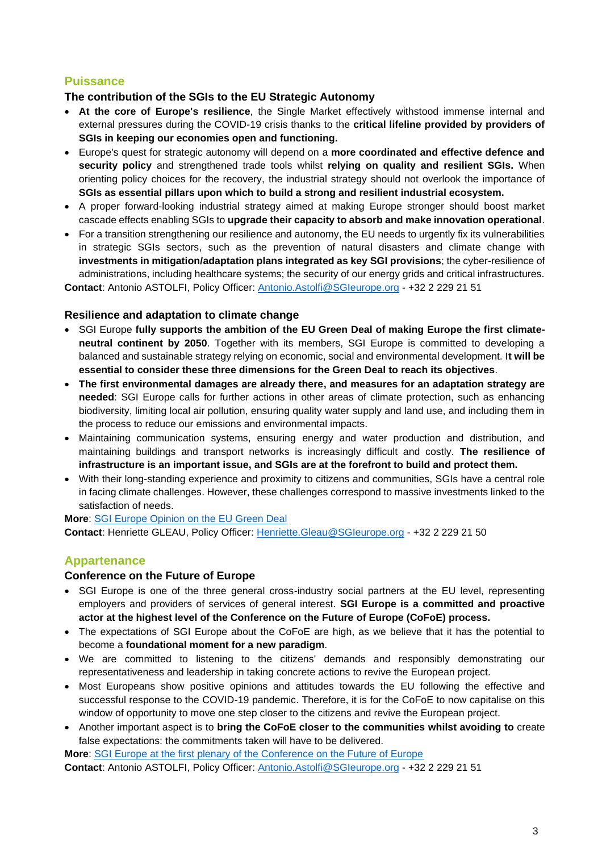#### **Puissance**

#### **The contribution of the SGIs to the EU Strategic Autonomy**

- **At the core of Europe's resilience**, the Single Market effectively withstood immense internal and external pressures during the COVID-19 crisis thanks to the **critical lifeline provided by providers of SGIs in keeping our economies open and functioning.**
- Europe's quest for strategic autonomy will depend on a **more coordinated and effective defence and security policy** and strengthened trade tools whilst **relying on quality and resilient SGIs.** When orienting policy choices for the recovery, the industrial strategy should not overlook the importance of **SGIs as essential pillars upon which to build a strong and resilient industrial ecosystem.**
- A proper forward-looking industrial strategy aimed at making Europe stronger should boost market cascade effects enabling SGIs to **upgrade their capacity to absorb and make innovation operational**.
- For a transition strengthening our resilience and autonomy, the EU needs to urgently fix its vulnerabilities in strategic SGIs sectors, such as the prevention of natural disasters and climate change with **investments in mitigation/adaptation plans integrated as key SGI provisions**; the cyber-resilience of administrations, including healthcare systems; the security of our energy grids and critical infrastructures.

**Contact**: Antonio ASTOLFI, Policy Officer: [Antonio.Astolfi@SGIeurope.org](mailto:Antonio.Astolfi@SGIeurope.org) - +32 2 229 21 51

#### **Resilience and adaptation to climate change**

- SGI Europe **fully supports the ambition of the EU Green Deal of making Europe the first climateneutral continent by 2050**. Together with its members, SGI Europe is committed to developing a balanced and sustainable strategy relying on economic, social and environmental development. I**t will be essential to consider these three dimensions for the Green Deal to reach its objectives**.
- **The first environmental damages are already there, and measures for an adaptation strategy are needed**: SGI Europe calls for further actions in other areas of climate protection, such as enhancing biodiversity, limiting local air pollution, ensuring quality water supply and land use, and including them in the process to reduce our emissions and environmental impacts.
- Maintaining communication systems, ensuring energy and water production and distribution, and maintaining buildings and transport networks is increasingly difficult and costly. **The resilience of infrastructure is an important issue, and SGIs are at the forefront to build and protect them.**
- With their long-standing experience and proximity to citizens and communities, SGIs have a central role in facing climate challenges. However, these challenges correspond to massive investments linked to the satisfaction of needs.

**More**: [SGI Europe Opinion on the EU Green Deal](https://sgieurope.org/files/20Opinion01_CEEP_Opinion_on_European_Green-Deal.pdf) **Contact**: Henriette GLEAU, Policy Officer: [Henriette.Gleau@SGIeurope.org](mailto:Henriette.Gleau@SGIeurope.org) - +32 2 229 21 50

#### **Appartenance**

#### **Conference on the Future of Europe**

- SGI Europe is one of the three general cross-industry social partners at the EU level, representing employers and providers of services of general interest. **SGI Europe is a committed and proactive actor at the highest level of the Conference on the Future of Europe (CoFoE) process.**
- The expectations of SGI Europe about the CoFoE are high, as we believe that it has the potential to become a **foundational moment for a new paradigm**.
- We are committed to listening to the citizens' demands and responsibly demonstrating our representativeness and leadership in taking concrete actions to revive the European project.
- Most Europeans show positive opinions and attitudes towards the EU following the effective and successful response to the COVID-19 pandemic. Therefore, it is for the CoFoE to now capitalise on this window of opportunity to move one step closer to the citizens and revive the European project.
- Another important aspect is to **bring the CoFoE closer to the communities whilst avoiding to** create false expectations: the commitments taken will have to be delivered.

**More**: [SGI Europe at the first plenary of the Conference on the Future of Europe](https://sgieurope.org/news/sgi-europe-at-the-first-plenary-of-the-conference-on-the-future-of-europe/)

**Contact**: Antonio ASTOLFI, Policy Officer: [Antonio.Astolfi@SGIeurope.org](mailto:Antonio.Astolfi@SGIeurope.org) - +32 2 229 21 51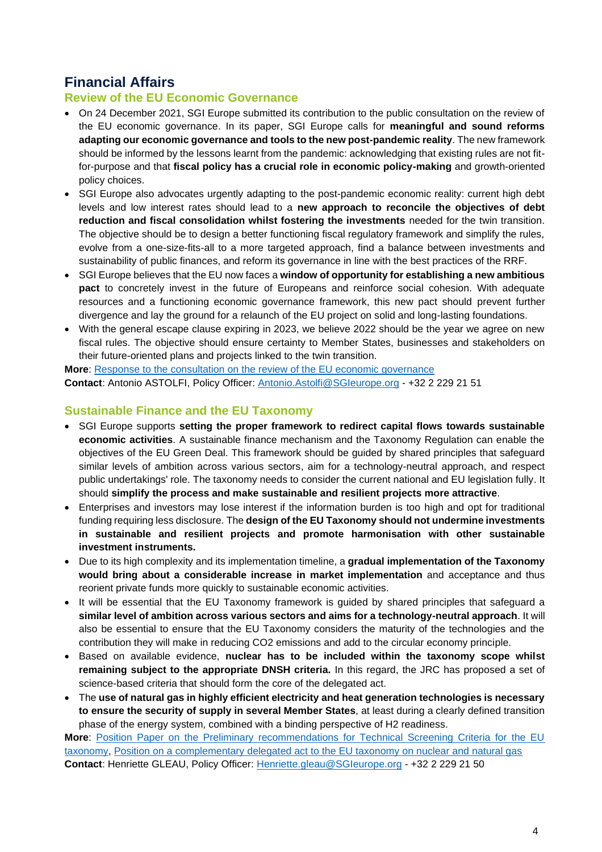## **Financial Affairs**

#### **Review of the EU Economic Governance**

- On 24 December 2021, SGI Europe submitted its contribution to the public consultation on the review of the EU economic governance. In its paper, SGI Europe calls for **meaningful and sound reforms adapting our economic governance and tools to the new post-pandemic reality**. The new framework should be informed by the lessons learnt from the pandemic: acknowledging that existing rules are not fitfor-purpose and that **fiscal policy has a crucial role in economic policy-making** and growth-oriented policy choices.
- SGI Europe also advocates urgently adapting to the post-pandemic economic reality: current high debt levels and low interest rates should lead to a **new approach to reconcile the objectives of debt reduction and fiscal consolidation whilst fostering the investments** needed for the twin transition. The objective should be to design a better functioning fiscal regulatory framework and simplify the rules, evolve from a one-size-fits-all to a more targeted approach, find a balance between investments and sustainability of public finances, and reform its governance in line with the best practices of the RRF.
- SGI Europe believes that the EU now faces a **window of opportunity for establishing a new ambitious pact** to concretely invest in the future of Europeans and reinforce social cohesion. With adequate resources and a functioning economic governance framework, this new pact should prevent further divergence and lay the ground for a relaunch of the EU project on solid and long-lasting foundations.
- With the general escape clause expiring in 2023, we believe 2022 should be the year we agree on new fiscal rules. The objective should ensure certainty to Member States, businesses and stakeholders on their future-oriented plans and projects linked to the twin transition.

**More**: [Response to the consultation on the review of the EU economic governance](https://sgieurope.org/files/SGI%20Europe_Contribution%20to%20the%20public%20debate%20on%20the%20review%20of%20the%20EU%20economic%20governance_24122021.pdf) **Contact**: Antonio ASTOLFI, Policy Officer: [Antonio.Astolfi@SGIeurope.org](mailto:Antonio.Astolfi@SGIeurope.org) - +32 2 229 21 51

#### **Sustainable Finance and the EU Taxonomy**

- SGI Europe supports **setting the proper framework to redirect capital flows towards sustainable economic activities**. A sustainable finance mechanism and the Taxonomy Regulation can enable the objectives of the EU Green Deal. This framework should be guided by shared principles that safeguard similar levels of ambition across various sectors, aim for a technology-neutral approach, and respect public undertakings' role. The taxonomy needs to consider the current national and EU legislation fully. It should **simplify the process and make sustainable and resilient projects more attractive**.
- Enterprises and investors may lose interest if the information burden is too high and opt for traditional funding requiring less disclosure. The **design of the EU Taxonomy should not undermine investments in sustainable and resilient projects and promote harmonisation with other sustainable investment instruments.**
- Due to its high complexity and its implementation timeline, a **gradual implementation of the Taxonomy would bring about a considerable increase in market implementation** and acceptance and thus reorient private funds more quickly to sustainable economic activities.
- It will be essential that the EU Taxonomy framework is guided by shared principles that safeguard a **similar level of ambition across various sectors and aims for a technology-neutral approach**. It will also be essential to ensure that the EU Taxonomy considers the maturity of the technologies and the contribution they will make in reducing CO2 emissions and add to the circular economy principle.
- Based on available evidence, **nuclear has to be included within the taxonomy scope whilst remaining subject to the appropriate DNSH criteria.** In this regard, the JRC has proposed a set of science-based criteria that should form the core of the delegated act.
- The **use of natural gas in highly efficient electricity and heat generation technologies is necessary to ensure the security of supply in several Member States**, at least during a clearly defined transition phase of the energy system, combined with a binding perspective of H2 readiness.

**More**: [Position Paper on the Preliminary recommendations for Technical Screening Criteria for the EU](https://sgieurope.org/files/SGI%20Europe%20-%20Accompanying%20paper%20to%20the%20TSC%20on%20EU%20Taxonomy.pdf)  [taxonomy,](https://sgieurope.org/files/SGI%20Europe%20-%20Accompanying%20paper%20to%20the%20TSC%20on%20EU%20Taxonomy.pdf) [Position on a complementary delegated act to the EU taxonomy on nuclear and natural gas](https://sgieurope.org/files/SGI%20Europe_EU%20Taxonomy%20-%20Position%20on%20nuclear%20and%20natural%20gas.pdf) **Contact**: Henriette GLEAU, Policy Officer: [Henriette.gleau@SGIeurope.org](mailto:Henriette.gleau@SGIeurope.org) - +32 2 229 21 50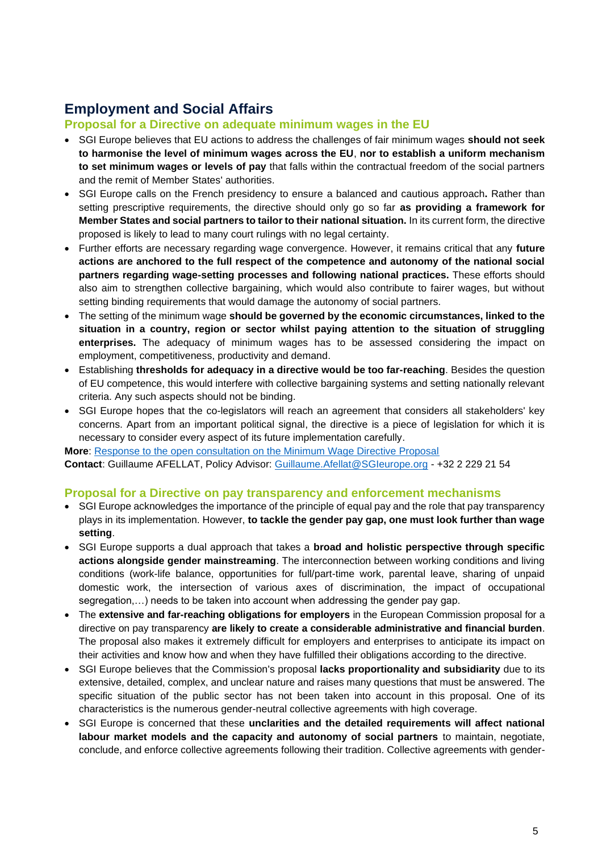## **Employment and Social Affairs**

#### **Proposal for a Directive on adequate minimum wages in the EU**

- SGI Europe believes that EU actions to address the challenges of fair minimum wages **should not seek to harmonise the level of minimum wages across the EU**, **nor to establish a uniform mechanism to set minimum wages or levels of pay** that falls within the contractual freedom of the social partners and the remit of Member States' authorities.
- SGI Europe calls on the French presidency to ensure a balanced and cautious approach**.** Rather than setting prescriptive requirements, the directive should only go so far **as providing a framework for Member States and social partners to tailor to their national situation.** In its current form, the directive proposed is likely to lead to many court rulings with no legal certainty.
- Further efforts are necessary regarding wage convergence. However, it remains critical that any **future actions are anchored to the full respect of the competence and autonomy of the national social partners regarding wage-setting processes and following national practices.** These efforts should also aim to strengthen collective bargaining, which would also contribute to fairer wages, but without setting binding requirements that would damage the autonomy of social partners.
- The setting of the minimum wage **should be governed by the economic circumstances, linked to the situation in a country, region or sector whilst paying attention to the situation of struggling enterprises.** The adequacy of minimum wages has to be assessed considering the [impact on](https://www.eesc.europa.eu/en/our-work/opinions-information-reports/opinions/decent-minimum-wages-across-europe,see)  [employment, competitiveness, productivity and demand.](https://www.eesc.europa.eu/en/our-work/opinions-information-reports/opinions/decent-minimum-wages-across-europe,see)
- Establishing **thresholds for adequacy in a directive would be too far-reaching**. Besides the question of EU competence, this would interfere with collective bargaining systems and setting nationally relevant criteria. Any such aspects should not be binding.
- SGI Europe hopes that the co-legislators will reach an agreement that considers all stakeholders' key concerns. Apart from an important political signal, the directive is a piece of legislation for which it is necessary to consider every aspect of its future implementation carefully.

**More**: [Response to the open consultation on the Minimum Wage Directive Proposal](https://sgieurope.org/publications/response-to-the-open-consultation-on-the-minimum-wage-directive-proposal/?page=1)

**Contact**: Guillaume AFELLAT, Policy Advisor: [Guillaume.Afellat@SGIeurope.org](mailto:Guillaume.Afellat@SGIeurope.org) - +32 2 229 21 54

#### **Proposal for a Directive on pay transparency and enforcement mechanisms**

- SGI Europe acknowledges the importance of the principle of equal pay and the role that pay transparency plays in its implementation. However, **to tackle the gender pay gap, one must look further than wage setting**.
- SGI Europe supports a dual approach that takes a **broad and holistic perspective through specific actions alongside gender mainstreaming**. The interconnection between working conditions and living conditions (work-life balance, opportunities for full/part-time work, parental leave, sharing of unpaid domestic work, the intersection of various axes of discrimination, the impact of occupational segregation,...) needs to be taken into account when addressing the gender pay gap.
- The **extensive and far-reaching obligations for employers** in the European Commission proposal for a directive on pay transparency **are likely to create a considerable administrative and financial burden**. The proposal also makes it extremely difficult for employers and enterprises to anticipate its impact on their activities and know how and when they have fulfilled their obligations according to the directive.
- SGI Europe believes that the Commission's proposal **lacks proportionality and subsidiarity** due to its extensive, detailed, complex, and unclear nature and raises many questions that must be answered. The specific situation of the public sector has not been taken into account in this proposal. One of its characteristics is the numerous gender-neutral collective agreements with high coverage.
- SGI Europe is concerned that these **unclarities and the detailed requirements will affect national labour market models and the capacity and autonomy of social partners** to maintain, negotiate, conclude, and enforce collective agreements following their tradition. Collective agreements with gender-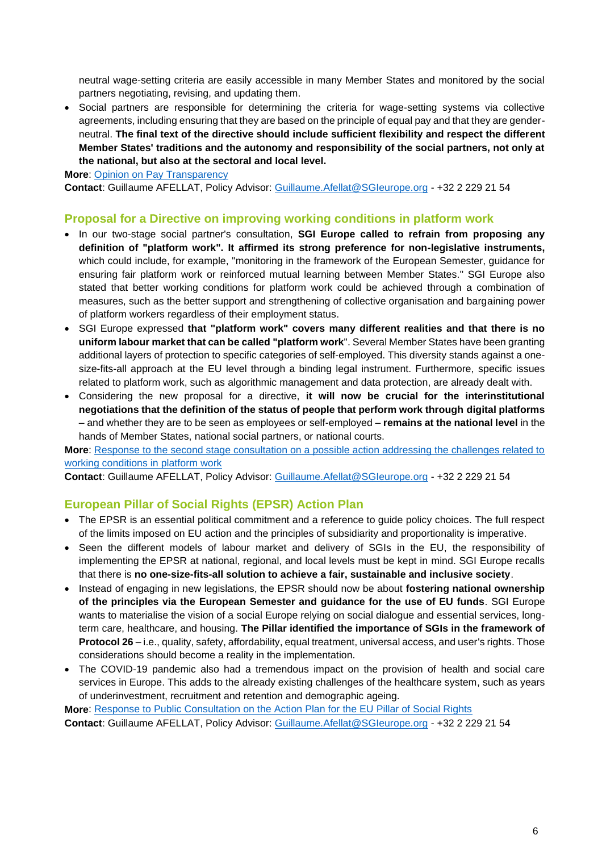neutral wage-setting criteria are easily accessible in many Member States and monitored by the social partners negotiating, revising, and updating them.

• Social partners are responsible for determining the criteria for wage-setting systems via collective agreements, including ensuring that they are based on the principle of equal pay and that they are genderneutral. **The final text of the directive should include sufficient flexibility and respect the different Member States' traditions and the autonomy and responsibility of the social partners, not only at the national, but also at the sectoral and local level.**

**More**: [Opinion on Pay Transparency](https://sgieurope.org/files/SGI%20Europe%20Opinion_pay%20transparency.pdf)

**Contact**: Guillaume AFELLAT, Policy Advisor: [Guillaume.Afellat@SGIeurope.org](mailto:Guillaume.Afellat@SGIeurope.org) - +32 2 229 21 54

#### **Proposal for a Directive on improving working conditions in platform work**

- In our two-stage social partner's consultation, **SGI Europe called to refrain from proposing any definition of "platform work". It affirmed its strong preference for non-legislative instruments,** which could include, for example, "monitoring in the framework of the European Semester, guidance for ensuring fair platform work or reinforced mutual learning between Member States." SGI Europe also stated that better working conditions for platform work could be achieved through a combination of measures, such as the better support and strengthening of collective organisation and bargaining power of platform workers regardless of their employment status.
- SGI Europe expressed **that "platform work" covers many different realities and that there is no uniform labour market that can be called "platform work**". Several Member States have been granting additional layers of protection to specific categories of self-employed. This diversity stands against a onesize-fits-all approach at the EU level through a binding legal instrument. Furthermore, specific issues related to platform work, such as algorithmic management and data protection, are already dealt with.
- Considering the new proposal for a directive, **it will now be crucial for the interinstitutional negotiations that the definition of the status of people that perform work through digital platforms** – and whether they are to be seen as employees or self-employed – **remains at the national level** in the hands of Member States, national social partners, or national courts.

**More**: [Response to the second stage consultation on a possible action addressing the challenges related to](https://sgieurope.org/files/SGIEurope_Second_stage_response_on_Platform_Work.pdf)  [working conditions in platform work](https://sgieurope.org/files/SGIEurope_Second_stage_response_on_Platform_Work.pdf)

**Contact**: Guillaume AFELLAT, Policy Advisor: [Guillaume.Afellat@SGIeurope.org](mailto:Guillaume.Afellat@SGIeurope.org) - +32 2 229 21 54

#### **European Pillar of Social Rights (EPSR) Action Plan**

- The EPSR is an essential political commitment and a reference to guide policy choices. The full respect of the limits imposed on EU action and the principles of subsidiarity and proportionality is imperative.
- Seen the different models of labour market and delivery of SGIs in the EU, the responsibility of implementing the EPSR at national, regional, and local levels must be kept in mind. SGI Europe recalls that there is **no one-size-fits-all solution to achieve a fair, sustainable and inclusive society**.
- Instead of engaging in new legislations, the EPSR should now be about **fostering national ownership of the principles via the European Semester and guidance for the use of EU funds**. SGI Europe wants to materialise the vision of a social Europe relying on social dialogue and essential services, longterm care, healthcare, and housing. **The Pillar identified the importance of SGIs in the framework of Protocol 26** – i.e., quality, safety, affordability, equal treatment, universal access, and user's rights. Those considerations should become a reality in the implementation.
- The COVID-19 pandemic also had a tremendous impact on the provision of health and social care services in Europe. This adds to the already existing challenges of the healthcare system, such as years of underinvestment, recruitment and retention and demographic ageing.

**More**: [Response to Public Consultation on the Action Plan for the EU Pillar of Social Rights](https://sgieurope.org/publications/response-to-public-consultation-on-the-action-plan-for-the-eu-pillar-of-social-rights/) **Contact**: Guillaume AFELLAT, Policy Advisor: [Guillaume.Afellat@SGIeurope.org](mailto:Guillaume.Afellat@SGIeurope.org) - +32 2 229 21 54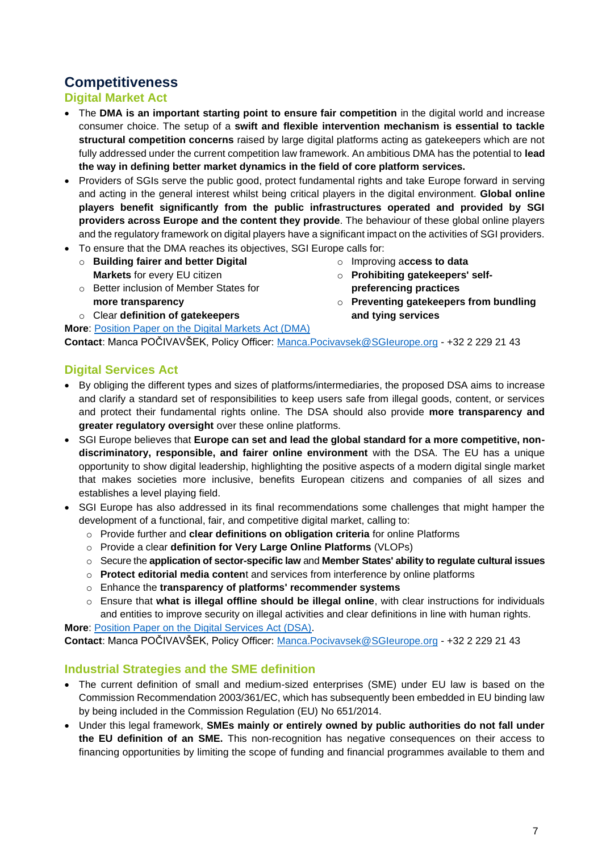## **Competitiveness**

#### **Digital Market Act**

- The **DMA is an important starting point to ensure fair competition** in the digital world and increase consumer choice. The setup of a **swift and flexible intervention mechanism is essential to tackle structural competition concerns** raised by large digital platforms acting as gatekeepers which are not fully addressed under the current competition law framework. An ambitious DMA has the potential to **lead the way in defining better market dynamics in the field of core platform services.**
- Providers of SGIs serve the public good, protect fundamental rights and take Europe forward in serving and acting in the general interest whilst being critical players in the digital environment. **Global online players benefit significantly from the public infrastructures operated and provided by SGI providers across Europe and the content they provide**. The behaviour of these global online players and the regulatory framework on digital players have a significant impact on the activities of SGI providers.
- To ensure that the DMA reaches its objectives, SGI Europe calls for: o **Building fairer and better Digital Markets** for every EU citizen
	- o Better inclusion of Member States for **more transparency**

**More**: [Position Paper on the Digital Markets Act \(DMA\)](https://sgieurope.org/files/SGIEU_Position%20on%20DMA.pdf)

o Clear **definition of gatekeepers**

- o Improving a**ccess to data** o **Prohibiting gatekeepers' self-**
- **preferencing practices**
- o **Preventing gatekeepers from bundling and tying services**

**Contact**: Manca POČIVAVŠEK, Policy Officer: [Manca.Pocivavsek@SGIeurope.org](mailto:Manca.Pocivavsek@SGIeurope.org) - +32 2 229 21 43

#### **Digital Services Act**

- By obliging the different types and sizes of platforms/intermediaries, the proposed DSA aims to increase and clarify a standard set of responsibilities to keep users safe from illegal goods, content, or services and protect their fundamental rights online. The DSA should also provide **more transparency and greater regulatory oversight** over these online platforms.
- SGI Europe believes that **Europe can set and lead the global standard for a more competitive, nondiscriminatory, responsible, and fairer online environment** with the DSA. The EU has a unique opportunity to show digital leadership, highlighting the positive aspects of a modern digital single market that makes societies more inclusive, benefits European citizens and companies of all sizes and establishes a level playing field.
- SGI Europe has also addressed in its final recommendations some challenges that might hamper the development of a functional, fair, and competitive digital market, calling to:
	- o Provide further and **clear definitions on obligation criteria** for online Platforms
	- o Provide a clear **definition for Very Large Online Platforms** (VLOPs)
	- o Secure the **application of sector-specific law** and **Member States' ability to regulate cultural issues**
	- o **Protect editorial media conten**t and services from interference by online platforms
	- o Enhance the **transparency of platforms' recommender systems**
	- o Ensure that **what is illegal offline should be illegal online**, with clear instructions for individuals and entities to improve security on illegal activities and clear definitions in line with human rights.

**More**: [Position Paper on the Digital Services Act \(DSA\).](http://sgieurope.org/files/SGIEU_Position%20on%20DSA.pdf) **Contact**: Manca POČIVAVŠEK, Policy Officer: [Manca.Pocivavsek@SGIeurope.org](mailto:Manca.Pocivavsek@SGIeurope.org) - +32 2 229 21 43

#### **Industrial Strategies and the SME definition**

- The current definition of small and medium-sized enterprises (SME) under EU law is based on the Commission Recommendation 2003/361/EC, which has subsequently been embedded in EU binding law by being included in the Commission Regulation (EU) No 651/2014.
- Under this legal framework, **SMEs mainly or entirely owned by public authorities do not fall under the EU definition of an SME.** This non-recognition has negative consequences on their access to financing opportunities by limiting the scope of funding and financial programmes available to them and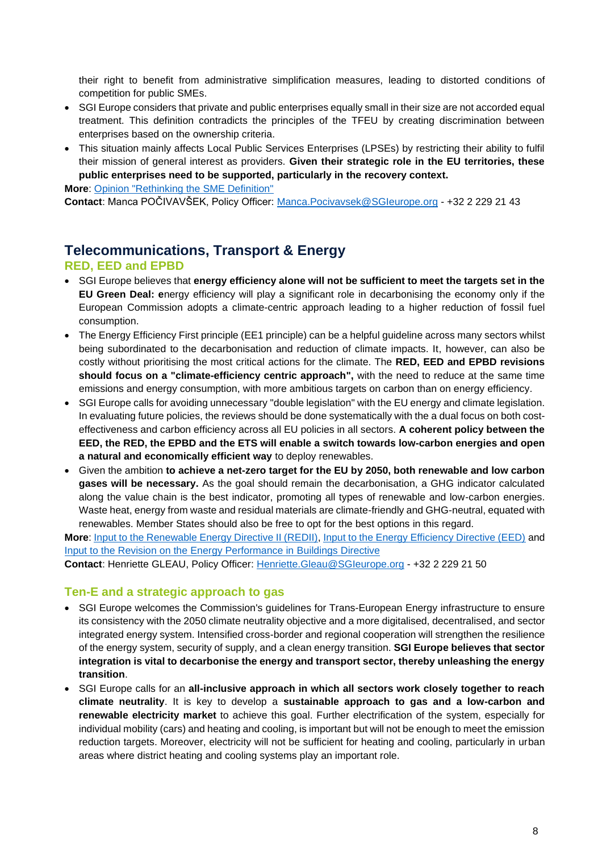their right to benefit from administrative simplification measures, leading to distorted conditions of competition for public SMEs.

- SGI Europe considers that private and public enterprises equally small in their size are not accorded equal treatment. This definition contradicts the principles of the TFEU by creating discrimination between enterprises based on the ownership criteria.
- This situation mainly affects Local Public Services Enterprises (LPSEs) by restricting their ability to fulfil their mission of general interest as providers. **Given their strategic role in the EU territories, these public enterprises need to be supported, particularly in the recovery context.**

**More**: [Opinion "Rethinking the SME Definition"](https://sgieurope.org/publications/rethinking_sme_definition/)

**Contact**: Manca POČIVAVŠEK, Policy Officer: [Manca.Pocivavsek@SGIeurope.org](mailto:Manca.Pocivavsek@SGIeurope.org) - +32 2 229 21 43

## **Telecommunications, Transport & Energy**

#### **RED, EED and EPBD**

- SGI Europe believes that **energy efficiency alone will not be sufficient to meet the targets set in the EU Green Deal: e**nergy efficiency will play a significant role in decarbonising the economy only if the European Commission adopts a climate-centric approach leading to a higher reduction of fossil fuel consumption.
- The Energy Efficiency First principle (EE1 principle) can be a helpful guideline across many sectors whilst being subordinated to the decarbonisation and reduction of climate impacts. It, however, can also be costly without prioritising the most critical actions for the climate. The **RED, EED and EPBD revisions should focus on a "climate-efficiency centric approach",** with the need to reduce at the same time emissions and energy consumption, with more ambitious targets on carbon than on energy efficiency.
- SGI Europe calls for avoiding unnecessary "double legislation" with the EU energy and climate legislation. In evaluating future policies, the reviews should be done systematically with the a dual focus on both costeffectiveness and carbon efficiency across all EU policies in all sectors. **A coherent policy between the EED, the RED, the EPBD and the ETS will enable a switch towards low-carbon energies and open a natural and economically efficient way** to deploy renewables.
- Given the ambition **to achieve a net-zero target for the EU by 2050, both renewable and low carbon gases will be necessary.** As the goal should remain the decarbonisation, a GHG indicator calculated along the value chain is the best indicator, promoting all types of renewable and low-carbon energies. Waste heat, energy from waste and residual materials are climate-friendly and GHG-neutral, equated with renewables. Member States should also be free to opt for the best options in this regard.

**More**: [Input to the Renewable Energy Directive II \(REDII\),](https://sgieurope.org/files/SGI_Europe_REDII_Response_022021.pdf) [Input to the Energy Efficiency Directive \(EED\)](https://sgieurope.org/files/SGI_Europe_EED_Response_022021.pdf) and [Input to the Revision on the Energy Performance in Buildings Directive](https://sgieurope.org/files/21ener06_SGIEurope_Position_EPBD_20210322.pdf)

**Contact**: Henriette GLEAU, Policy Officer: [Henriette.Gleau@SGIeurope.org](mailto:Henriette.Gleau@SGIeurope.org) - +32 2 229 21 50

#### **Ten-E and a strategic approach to gas**

- SGI Europe welcomes the Commission's guidelines for Trans-European Energy infrastructure to ensure its consistency with the 2050 climate neutrality objective and a more digitalised, decentralised, and sector integrated energy system. Intensified cross-border and regional cooperation will strengthen the resilience of the energy system, security of supply, and a clean energy transition. **SGI Europe believes that sector integration is vital to decarbonise the energy and transport sector, thereby unleashing the energy transition**.
- SGI Europe calls for an **all-inclusive approach in which all sectors work closely together to reach climate neutrality**. It is key to develop a **sustainable approach to gas and a low-carbon and renewable electricity market** to achieve this goal. Further electrification of the system, especially for individual mobility (cars) and heating and cooling, is important but will not be enough to meet the emission reduction targets. Moreover, electricity will not be sufficient for heating and cooling, particularly in urban areas where district heating and cooling systems play an important role.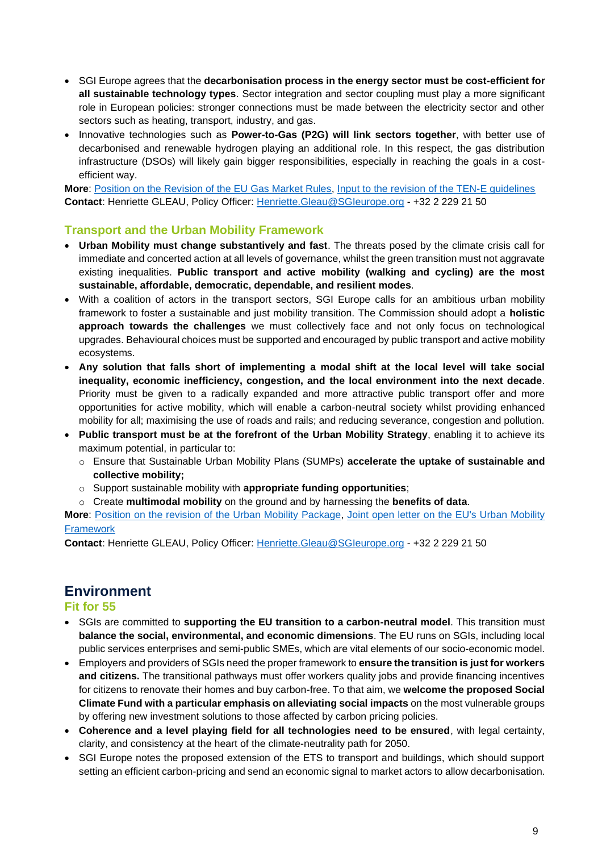- SGI Europe agrees that the **decarbonisation process in the energy sector must be cost-efficient for all sustainable technology types**. Sector integration and sector coupling must play a more significant role in European policies: stronger connections must be made between the electricity sector and other sectors such as heating, transport, industry, and gas.
- Innovative technologies such as **Power-to-Gas (P2G) will link sectors together**, with better use of decarbonised and renewable hydrogen playing an additional role. In this respect, the gas distribution infrastructure (DSOs) will likely gain bigger responsibilities, especially in reaching the goals in a costefficient way.

**More**: [Position on the Revision of the EU Gas Market Rules,](https://sgieurope.org/files/SGIEU_Position%20on%20EU%20Gas%20Market%20Rules_final.pdf) [Input to the revision of the TEN-E guidelines](https://sgieurope.org/files/20ener11-CEEP_Input_TEN_E_Revision_of_Guidelines_20200703.pdf) **Contact**: Henriette GLEAU, Policy Officer: [Henriette.Gleau@SGIeurope.org](mailto:Henriette.Gleau@SGIeurope.org) - +32 2 229 21 50

#### **Transport and the Urban Mobility Framework**

- **Urban Mobility must change substantively and fast**. The threats posed by the climate crisis call for immediate and concerted action at all levels of governance, whilst the green transition must not aggravate existing inequalities. **Public transport and active mobility (walking and cycling) are the most sustainable, affordable, democratic, dependable, and resilient modes**.
- With a coalition of actors in the transport sectors, SGI Europe calls for an ambitious urban mobility framework to foster a sustainable and just mobility transition. The Commission should adopt a **holistic approach towards the challenges** we must collectively face and not only focus on technological upgrades. Behavioural choices must be supported and encouraged by public transport and active mobility ecosystems.
- **Any solution that falls short of implementing a modal shift at the local level will take social inequality, economic inefficiency, congestion, and the local environment into the next decade**. Priority must be given to a radically expanded and more attractive public transport offer and more opportunities for active mobility, which will enable a carbon-neutral society whilst providing enhanced mobility for all; maximising the use of roads and rails; and reducing severance, congestion and pollution.
- **Public transport must be at the forefront of the Urban Mobility Strategy**, enabling it to achieve its maximum potential, in particular to:
	- o Ensure that Sustainable Urban Mobility Plans (SUMPs) **accelerate the uptake of sustainable and collective mobility;**
	- o Support sustainable mobility with **appropriate funding opportunities**;
	- o Create **multimodal mobility** on the ground and by harnessing the **benefits of data**.

**More**: [Position on the revision of the Urban Mobility Package,](https://sgieurope.org/publications/position-paper-on-the-revision-of-the-urban-mobility-package/?page=1) [Joint open letter on the EU's Urban Mobility](https://cms.uitp.org/wp/wp-content/uploads/2021/09/20210923_Stakeholder-statement_Urban-Mobility-Framework-1.pdf)  [Framework](https://cms.uitp.org/wp/wp-content/uploads/2021/09/20210923_Stakeholder-statement_Urban-Mobility-Framework-1.pdf)

**Contact**: Henriette GLEAU, Policy Officer: [Henriette.Gleau@SGIeurope.org](mailto:Henriette.Gleau@SGIeurope.org) - +32 2 229 21 50

## **Environment**

#### **Fit for 55**

- SGIs are committed to **supporting the EU transition to a carbon-neutral model**. This transition must **balance the social, environmental, and economic dimensions**. The EU runs on SGIs, including local public services enterprises and semi-public SMEs, which are vital elements of our socio-economic model.
- Employers and providers of SGIs need the proper framework to **ensure the transition is just for workers and citizens.** The transitional pathways must offer workers quality jobs and provide financing incentives for citizens to renovate their homes and buy carbon-free. To that aim, we **welcome the proposed Social Climate Fund with a particular emphasis on alleviating social impacts** on the most vulnerable groups by offering new investment solutions to those affected by carbon pricing policies.
- **Coherence and a level playing field for all technologies need to be ensured**, with legal certainty, clarity, and consistency at the heart of the climate-neutrality path for 2050.
- SGI Europe notes the proposed extension of the ETS to transport and buildings, which should support setting an efficient carbon-pricing and send an economic signal to market actors to allow decarbonisation.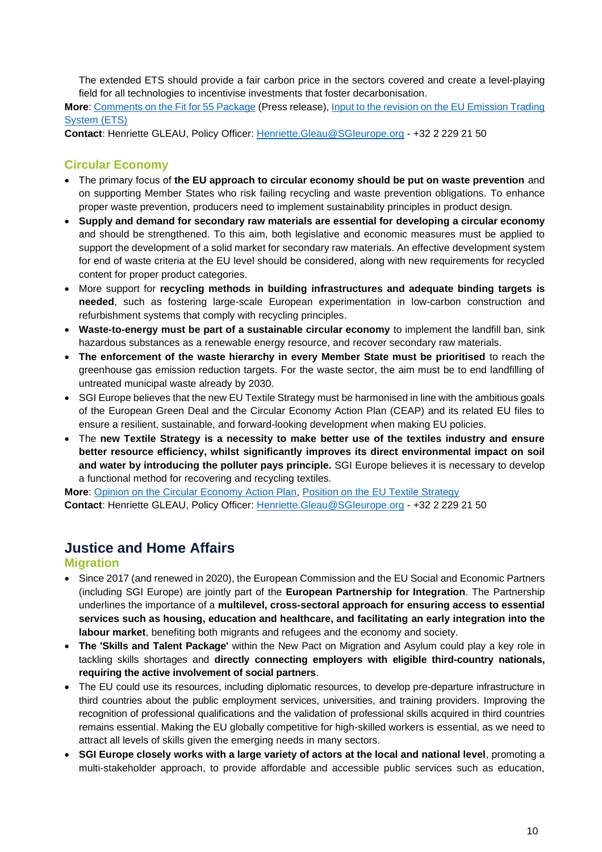The extended ETS should provide a fair carbon price in the sectors covered and create a level-playing field for all technologies to incentivise investments that foster decarbonisation.

**More**: [Comments on the Fit for 55 Package](https://sgieurope.org/news/sgi-europe-comments-on-the-fit-for-55-package) (Press release)[, Input to the revision on the EU Emission Trading](https://sgieurope.org/files/SGIEurope_ETS_response.pdf)  [System \(ETS\)](https://sgieurope.org/files/SGIEurope_ETS_response.pdf)

**Contact**: Henriette GLEAU, Policy Officer: [Henriette.Gleau@SGIeurope.org](mailto:Henriette.Gleau@SGIeurope.org) - +32 2 229 21 50

#### **Circular Economy**

- The primary focus of **the EU approach to circular economy should be put on waste prevention** and on supporting Member States who risk failing recycling and waste prevention obligations. To enhance proper waste prevention, producers need to implement sustainability principles in product design.
- **Supply and demand for secondary raw materials are essential for developing a circular economy** and should be strengthened. To this aim, both legislative and economic measures must be applied to support the development of a solid market for secondary raw materials. An effective development system for end of waste criteria at the EU level should be considered, along with new requirements for recycled content for proper product categories.
- More support for **recycling methods in building infrastructures and adequate binding targets is needed**, such as fostering large-scale European experimentation in low-carbon construction and refurbishment systems that comply with recycling principles.
- **Waste-to-energy must be part of a sustainable circular economy** to implement the landfill ban, sink hazardous substances as a renewable energy resource, and recover secondary raw materials.
- **The enforcement of the waste hierarchy in every Member State must be prioritised** to reach the greenhouse gas emission reduction targets. For the waste sector, the aim must be to end landfilling of untreated municipal waste already by 2030.
- SGI Europe believes that the new EU Textile Strategy must be harmonised in line with the ambitious goals of the European Green Deal and the Circular Economy Action Plan (CEAP) and its related EU files to ensure a resilient, sustainable, and forward-looking development when making EU policies.
- The **new Textile Strategy is a necessity to make better use of the textiles industry and ensure better resource efficiency, whilst significantly improves its direct environmental impact on soil and water by introducing the polluter pays principle.** SGI Europe believes it is necessary to develop a functional method for recovering and recycling textiles.

**More**: [Opinion on the Circular Economy Action Plan,](https://sgieurope.org/publications/opinion-circular_economy_action_plan/) [Position on the EU Textile Strategy](https://sgieurope.org/files/SGIEurope_position_EUTextile_Strategy_Final.pdf) **Contact**: Henriette GLEAU, Policy Officer: [Henriette.Gleau@SGIeurope.org](mailto:Henriette.Gleau@SGIeurope.org) - +32 2 229 21 50

## **Justice and Home Affairs**

#### **Migration**

- Since 2017 (and renewed in 2020), the European Commission and the EU Social and Economic Partners (including SGI Europe) are jointly part of the **European Partnership for Integration**. The Partnership underlines the importance of a **multilevel, cross-sectoral approach for ensuring access to essential services such as housing, education and healthcare, and facilitating an early integration into the labour market**, benefiting both migrants and refugees and the economy and society.
- **The 'Skills and Talent Package'** within the [New Pact on Migration and Asylum](https://ec.europa.eu/info/strategy/priorities-2019-2024/promoting-our-european-way-life/new-pact-migration-and-asylum_en) could play a key role in tackling skills shortages and **directly connecting employers with eligible third-country nationals, requiring the active involvement of social partners**.
- The EU could use its resources, including diplomatic resources, to develop pre-departure infrastructure in third countries about the public employment services, universities, and training providers. Improving the recognition of professional qualifications and the validation of professional skills acquired in third countries remains essential. Making the EU globally competitive for high-skilled workers is essential, as we need to attract all levels of skills given the emerging needs in many sectors.
- **SGI Europe closely works with a large variety of actors at the local and national level**, promoting a multi-stakeholder approach, to provide affordable and accessible public services such as education,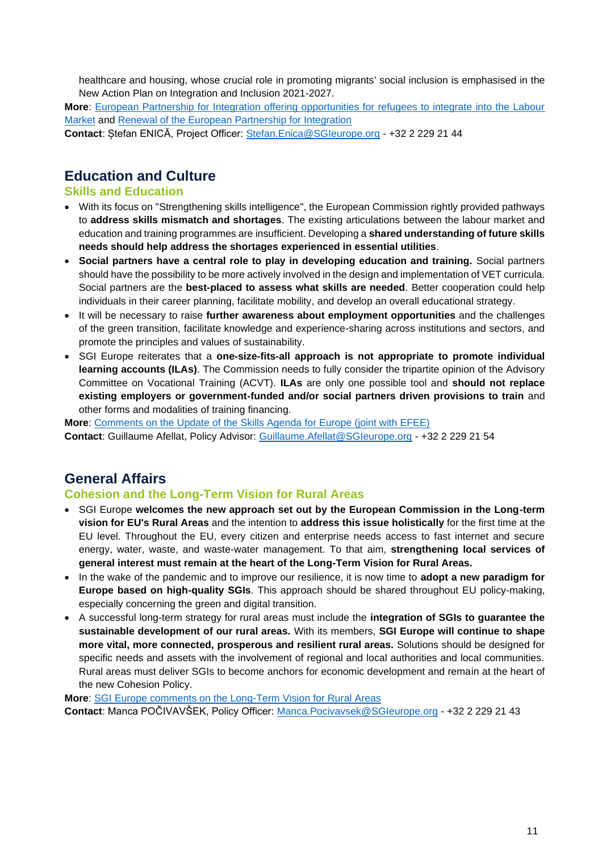healthcare and housing, whose crucial role in promoting migrants' social inclusion is emphasised in the New Action Plan on Integration and Inclusion 2021-2027.

**More**: [European Partnership for Integration offering opportunities for refugees to integrate into the Labour](https://ec.europa.eu/home-affairs/sites/homeaffairs/files/e-library/documents/policies/legal-migration/integration/docs/20171220_european_partnership_for_integration_en.pdf)  [Market](https://ec.europa.eu/home-affairs/sites/homeaffairs/files/e-library/documents/policies/legal-migration/integration/docs/20171220_european_partnership_for_integration_en.pdf) and [Renewal of the European Partnership for Integration](https://ec.europa.eu/home-affairs/sites/homeaffairs/files/what-we-do/policies/legal-migration-policy/joint-statement-commission-economic-social-partners-renewal-european-partnership-integration.pdf)

**Contact**: Ștefan ENICĂ, Project Officer: [Stefan.Enica@SGIeurope.org](mailto:Stefan.Enica@SGIeurope.org) - +32 2 229 21 44

## **Education and Culture**

#### **Skills and Education**

- With its focus on "Strengthening skills intelligence", the European Commission rightly provided pathways to **address skills mismatch and shortages**. The existing articulations between the labour market and education and training programmes are insufficient. Developing a **shared understanding of future skills needs should help address the shortages experienced in essential utilities**.
- **Social partners have a central role to play in developing education and training.** Social partners should have the possibility to be more actively involved in the design and implementation of VET curricula. Social partners are the **best-placed to assess what skills are needed**. Better cooperation could help individuals in their career planning, facilitate mobility, and develop an overall educational strategy.
- It will be necessary to raise **further awareness about employment opportunities** and the challenges of the green transition, facilitate knowledge and experience-sharing across institutions and sectors, and promote the principles and values of sustainability.
- SGI Europe reiterates that a **one-size-fits-all approach is not appropriate to promote individual learning accounts (ILAs)**. The Commission needs to fully consider the tripartite opinion of the Advisory Committee on Vocational Training (ACVT). **ILAs** are only one possible tool and **should not replace existing employers or government-funded and/or social partners driven provisions to train** and other forms and modalities of training financing.

**More**: [Comments on the Update of the Skills Agenda for Europe \(joint with EFEE\)](https://sgieurope.org/files/COMMENTS-ON-UPDATING-THE-EU-SKILLS-AGENDA-CEEPEFEE.pdf) **Contact**: Guillaume Afellat, Policy Advisor: [Guillaume.Afellat@SGIeurope.org](mailto:Guillaume.Afellat@SGIeurope.org) - +32 2 229 21 54

## **General Affairs**

#### **Cohesion and the Long-Term Vision for Rural Areas**

- SGI Europe **welcomes the new approach set out by the European Commission in the Long-term vision for EU's Rural Areas** and the intention to **address this issue holistically** for the first time at the EU level. Throughout the EU, every citizen and enterprise needs access to fast internet and secure energy, water, waste, and waste-water management. To that aim, **strengthening local services of general interest must remain at the heart of the Long-Term Vision for Rural Areas.**
- In the wake of the pandemic and to improve our resilience, it is now time to **adopt a new paradigm for Europe based on high-quality SGIs**. This approach should be shared throughout EU policy-making, especially concerning the green and digital transition.
- A successful long-term strategy for rural areas must include the **integration of SGIs to guarantee the sustainable development of our rural areas.** With its members, **SGI Europe will continue to shape more vital, more connected, prosperous and resilient rural areas.** Solutions should be designed for specific needs and assets with the involvement of regional and local authorities and local communities. Rural areas must deliver SGIs to become anchors for economic development and remain at the heart of the new Cohesion Policy.

**More**: [SGI Europe comments on the Long-Term Vision for Rural Areas](https://sgieurope.org/news/sgi-europe-comments-on-the-long-term-vision-for-rural-areas/) **Contact**: Manca POČIVAVŠEK, Policy Officer: [Manca.Pocivavsek@SGIeurope.org](mailto:Manca.Pocivavsek@SGIeurope.org) - +32 2 229 21 43